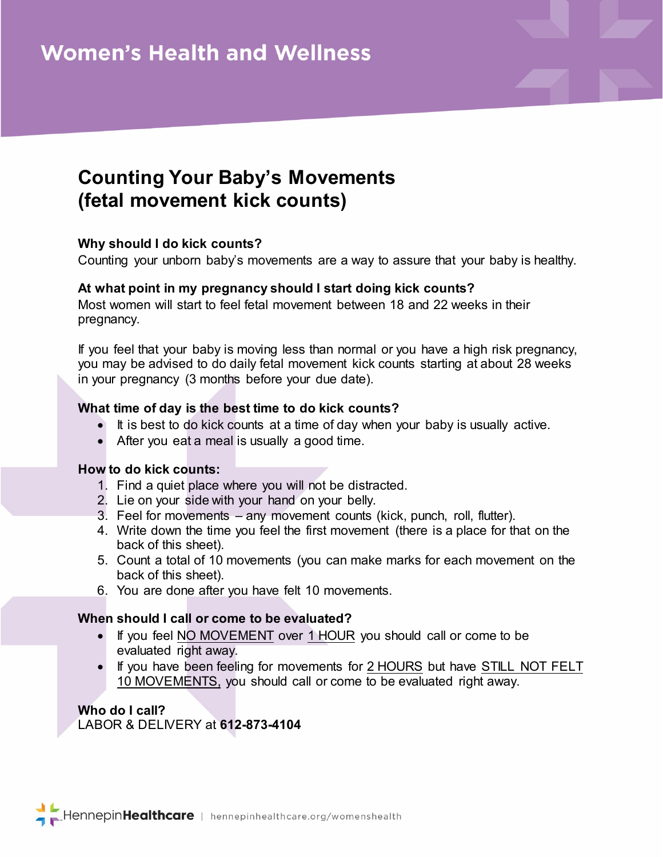# **Counting Your Baby's Movements (fetal movement kick counts)**

## **Why should I do kick counts?**

Counting your unborn baby's movements are a way to assure that your baby is healthy.

#### **At what point in my pregnancy should I start doing kick counts?**

Most women will start to feel fetal movement between 18 and 22 weeks in their pregnancy.

If you feel that your baby is moving less than normal or you have a high risk pregnancy, you may be advised to do daily fetal movement kick counts starting at about 28 weeks in your pregnancy (3 months before your due date).

## **What time of day is the best time to do kick counts?**

- It is best to do kick counts at a time of day when your baby is usually active.
- After you eat a meal is usually a good time.

#### **How to do kick counts:**

- 1. Find a quiet place where you will not be distracted.
- 2. Lie on your side with your hand on your belly.
- 3. Feel for movements any movement counts (kick, punch, roll, flutter).
- 4. Write down the time you feel the first movement (there is a place for that on the back of this sheet).
- 5. Count a total of 10 movements (you can make marks for each movement on the back of this sheet).
- 6. You are done after you have felt 10 movements.

## **When should I call or come to be evaluated?**

- If you feel NO MOVEMENT over 1 HOUR you should call or come to be evaluated right away.
- If you have been feeling for movements for 2 HOURS but have STILL NOT FELT 10 MOVEMENTS, you should call or come to be evaluated right away.

**Who do I call?** LABOR & DELIVERY at **612-873-4104**